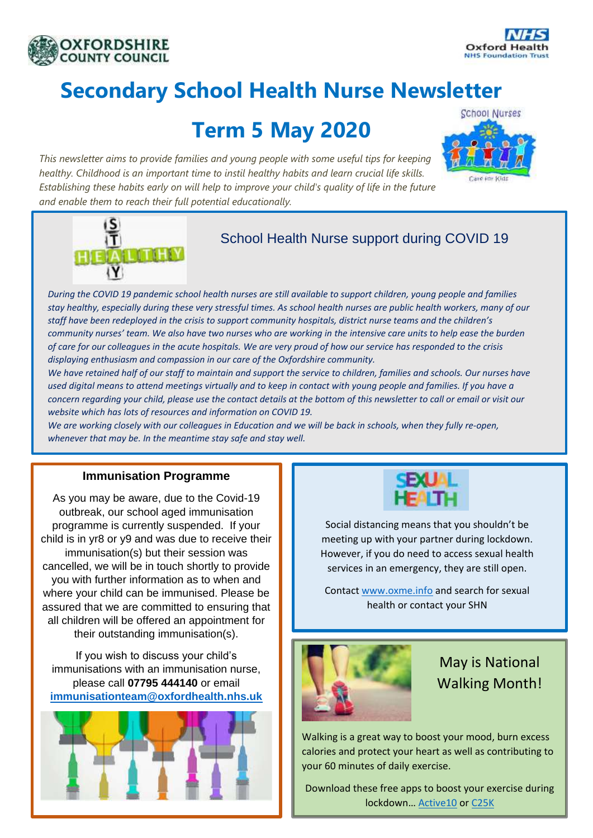



# **Secondary School Health Nurse Newsletter**

## **Term 5 May 2020**

*This newsletter aims to provide families and young people with some useful tips for keeping healthy. Childhood is an important time to instil healthy habits and learn crucial life skills. Establishing these habits early on will help to improve your child's quality of life in the future and enable them to reach their full potential educationally.*





### School Health Nurse support during COVID 19

*During the COVID 19 pandemic school health nurses are still available to support children, young people and families stay healthy, especially during these very stressful times. As school health nurses are public health workers, many of our staff have been redeployed in the crisis to support community hospitals, district nurse teams and the children's community nurses' team. We also have two nurses who are working in the intensive care units to help ease the burden of care for our colleagues in the acute hospitals. We are very proud of how our service has responded to the crisis displaying enthusiasm and compassion in our care of the Oxfordshire community.* 

*We have retained half of our staff to maintain and support the service to children, families and schools. Our nurses have used digital means to attend meetings virtually and to keep in contact with young people and families. If you have a concern regarding your child, please use the contact details at the bottom of this newsletter to call or email or visit our website which has lots of resources and information on COVID 19.*

*We are working closely with our colleagues in Education and we will be back in schools, when they fully re-open, whenever that may be. In the meantime stay safe and stay well.* 

#### **Immunisation Programme**

As you may be aware, due to the Covid-19 outbreak, our school aged immunisation programme is currently suspended. If your child is in yr8 or y9 and was due to receive their immunisation(s) but their session was cancelled, we will be in touch shortly to provide you with further information as to when and where your child can be immunised. Please be assured that we are committed to ensuring that all children will be offered an appointment for their outstanding immunisation(s).

If you wish to discuss your child's immunisations with an immunisation nurse, please call **07795 444140** or email **[immunisationteam@oxfordhealth.nhs.uk](mailto:immunisationteam@oxfordhealth.nhs.uk)**





Social distancing means that you shouldn't be meeting up with your partner during lockdown. However, if you do need to access sexual health services in an emergency, they are still open.

Contact [www.oxme.info](http://www.oxme.info/) and search for sexual health or contact your SHN



May is National Walking Month!

Walking is a great way to boost your mood, burn excess calories and protect your heart as well as contributing to your 60 minutes of daily exercise.

Download these free apps to boost your exercise during lockdown… [Active10](https://www.nhs.uk/oneyou/active10/home) o[r C25K](https://www.nhs.uk/live-well/exercise/couch-to-5k-week-by-week/)